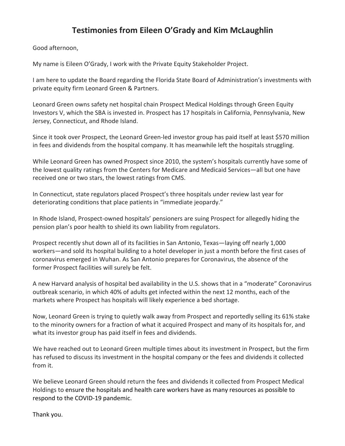## **Testimonies from Eileen O'Grady and Kim McLaughlin**

Good afternoon,

My name is Eileen O'Grady, I work with the Private Equity Stakeholder Project.

I am here to update the Board regarding the Florida State Board of Administration's investments with private equity firm Leonard Green & Partners.

Leonard Green owns safety net hospital chain Prospect Medical Holdings through Green Equity Investors V, which the SBA is invested in. Prospect has 17 hospitals in California, Pennsylvania, New Jersey, Connecticut, and Rhode Island.

Since it took over Prospect, the Leonard Green-led investor group has paid itself at least \$570 million in fees and dividends from the hospital company. It has meanwhile left the hospitals struggling.

While Leonard Green has owned Prospect since 2010, the system's hospitals currently have some of the lowest quality ratings from the Centers for Medicare and Medicaid Services—all but one have received one or two stars, the lowest ratings from CMS.

In Connecticut, state regulators placed Prospect's three hospitals under review last year for deteriorating conditions that place patients in "immediate jeopardy."

In Rhode Island, Prospect-owned hospitals' pensioners are suing Prospect for allegedly hiding the pension plan's poor health to shield its own liability from regulators.

Prospect recently shut down all of its facilities in San Antonio, Texas—laying off nearly 1,000 workers—and sold its hospital building to a hotel developer in just a month before the first cases of coronavirus emerged in Wuhan. As San Antonio prepares for Coronavirus, the absence of the former Prospect facilities will surely be felt.

A new Harvard analysis of hospital bed availability in the U.S. shows that in a "moderate" Coronavirus outbreak scenario, in which 40% of adults get infected within the next 12 months, each of the markets where Prospect has hospitals will likely experience a bed shortage.

Now, Leonard Green is trying to quietly walk away from Prospect and reportedly selling its 61% stake to the minority owners for a fraction of what it acquired Prospect and many of its hospitals for, and what its investor group has paid itself in fees and dividends.

We have reached out to Leonard Green multiple times about its investment in Prospect, but the firm has refused to discuss its investment in the hospital company or the fees and dividends it collected from it.

We believe Leonard Green should return the fees and dividends it collected from Prospect Medical Holdings to ensure the hospitals and health care workers have as many resources as possible to respond to the COVID-19 pandemic.

Thank you.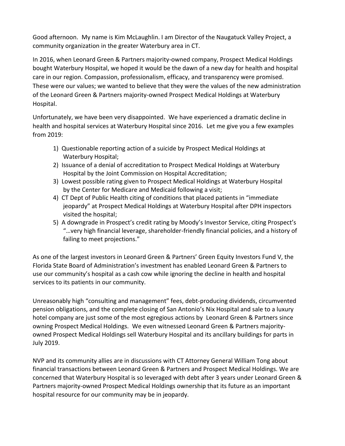Good afternoon. My name is Kim McLaughlin. I am Director of the Naugatuck Valley Project, a community organization in the greater Waterbury area in CT.

In 2016, when Leonard Green & Partners majority-owned company, Prospect Medical Holdings bought Waterbury Hospital, we hoped it would be the dawn of a new day for health and hospital care in our region. Compassion, professionalism, efficacy, and transparency were promised. These were our values; we wanted to believe that they were the values of the new administration of the Leonard Green & Partners majority-owned Prospect Medical Holdings at Waterbury Hospital.

Unfortunately, we have been very disappointed. We have experienced a dramatic decline in health and hospital services at Waterbury Hospital since 2016. Let me give you a few examples from 2019:

- 1) Questionable reporting action of a suicide by Prospect Medical Holdings at Waterbury Hospital;
- 2) Issuance of a denial of accreditation to Prospect Medical Holdings at Waterbury Hospital by the Joint Commission on Hospital Accreditation;
- 3) Lowest possible rating given to Prospect Medical Holdings at Waterbury Hospital by the Center for Medicare and Medicaid following a visit;
- 4) CT Dept of Public Health citing of conditions that placed patients in "immediate jeopardy" at Prospect Medical Holdings at Waterbury Hospital after DPH inspectors visited the hospital;
- 5) A downgrade in Prospect's credit rating by Moody's Investor Service, citing Prospect's "…very high financial leverage, shareholder-friendly financial policies, and a history of failing to meet projections."

As one of the largest investors in Leonard Green & Partners' Green Equity Investors Fund V, the Florida State Board of Administration's investment has enabled Leonard Green & Partners to use our community's hospital as a cash cow while ignoring the decline in health and hospital services to its patients in our community.

Unreasonably high "consulting and management" fees, debt-producing dividends, circumvented pension obligations, and the complete closing of San Antonio's Nix Hospital and sale to a luxury hotel company are just some of the most egregious actions by Leonard Green & Partners since owning Prospect Medical Holdings. We even witnessed Leonard Green & Partners majorityowned Prospect Medical Holdings sell Waterbury Hospital and its ancillary buildings for parts in July 2019.

NVP and its community allies are in discussions with CT Attorney General William Tong about financial transactions between Leonard Green & Partners and Prospect Medical Holdings. We are concerned that Waterbury Hospital is so leveraged with debt after 3 years under Leonard Green & Partners majority-owned Prospect Medical Holdings ownership that its future as an important hospital resource for our community may be in jeopardy.